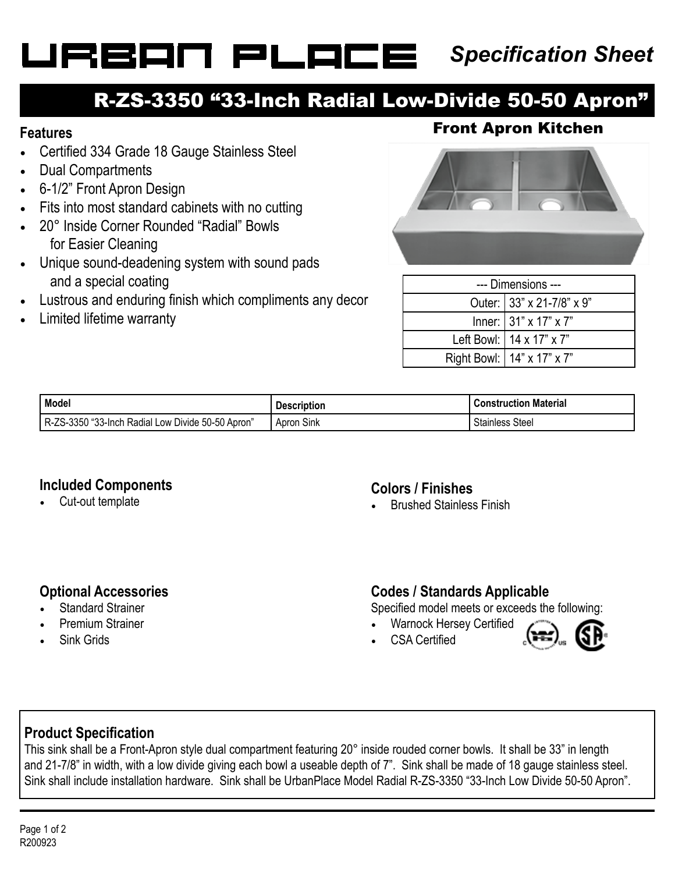# URBAN PLAI

### *Specification Sheet*

### R-ZS-3350 "33-Inch Radial Low-Divide 50-50 Apron"

- Certified 334 Grade 18 Gauge Stainless Steel
- Dual Compartments
- 6-1/2" Front Apron Design
- Fits into most standard cabinets with no cutting
- 20° Inside Corner Rounded "Radial" Bowls for Easier Cleaning
- Unique sound-deadening system with sound pads and a special coating
- Lustrous and enduring finish which compliments any decor
- Limited lifetime warranty

### **Features** Front Apron Kitchen



| --- Dimensions --- |                                   |  |
|--------------------|-----------------------------------|--|
|                    | Outer: 33" x 21-7/8" x 9"         |  |
|                    | Inner: $31" \times 17" \times 7"$ |  |
|                    | Left Bowl: $\vert$ 14 x 17" x 7"  |  |
|                    | Right Bowl:   14" x 17" x 7"      |  |

| Model                                                                         | <b>Description</b> | <b>Construction Material</b> |
|-------------------------------------------------------------------------------|--------------------|------------------------------|
| Divide 50-50 Apron'<br>3°" (3350 ב∠<br>-<br>a Radial Low !<br>-33-Inch<br>ĸ-, | Sink<br>Apron      | $\sim$<br>Steel<br>Stainless |

#### **Included Components**

Cut-out template

#### **Colors / Finishes**

• Brushed Stainless Finish

#### **Optional Accessories**

- **Standard Strainer**
- Premium Strainer
- Sink Grids

#### **Codes / Standards Applicable**

Specified model meets or exceeds the following:

• Warnock Hersey Certified • CSA Certified



#### **Product Specification**

This sink shall be a Front-Apron style dual compartment featuring 20° inside rouded corner bowls. It shall be 33" in length and 21-7/8" in width, with a low divide giving each bowl a useable depth of 7". Sink shall be made of 18 gauge stainless steel. Sink shall include installation hardware. Sink shall be UrbanPlace Model Radial R-ZS-3350 "33-Inch Low Divide 50-50 Apron".